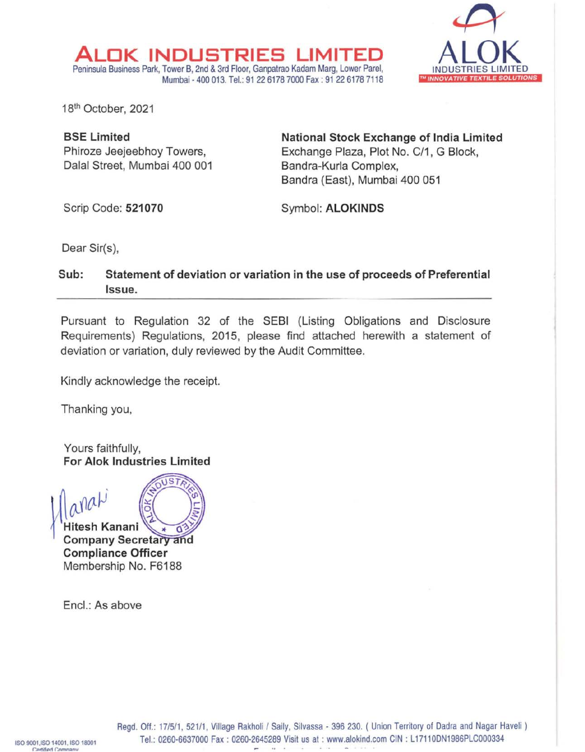

181h October, 2021

**BSE Limited**  Phiroze Jeejeebhoy Towers, Dalal Street, Mumbai 400 001

**ALDK INDUSTRIES LIMITED** 

Peninsula Business Park, Tower B, 2nd & 3rd Floor, Ganpatrao Kadam Marg, Lower Parel,

**National Stock Exchange of India Limited**  Exchange Plaza, Plot No. C/1, G Block, Bandra-Kurla Complex, Bandra (East), Mumbai 400 051

Scrip Code: **521070** 

Symbol: **ALOKINDS** 

Dear Sir(s),

## **Sub: Statement of deviation or variation in the use of proceeds of Preferential Issue.**

Mumbai - 400 013. Tel.: 91 22 6178 7000 Fax: 91 22 6178 7118

Pursuant to Regulation 32 of the SEBI (Listing Obligations and Disclosure Requirements) Regulations, 2015, please find attached herewith a statement of deviation or variation, duly reviewed by the Audit Committee.

Kindly acknowledge the receipt.

Thanking you,

Yours faithfully, **For Alok Industries Limited** 

 $arab'$   $\mathbb{R}^{\text{e}\text{user}}$ **Hitesh Kanani** *.>~* ,.. *o"'>f*  **Company Secretary and Compliance Officer**  Membership No. F6188

Encl.: As above

Regd. Off.: 17/5/1, 521/1, Village Rakholi / Saily, Silvassa - 396 230. ( Union Territory of Dadra and Nagar Haveli ) Tel.: 0260-6637000 Fax : 0260-2645289 Visit us at : www.alokind.com CIN : L17110DN1986PLC000334